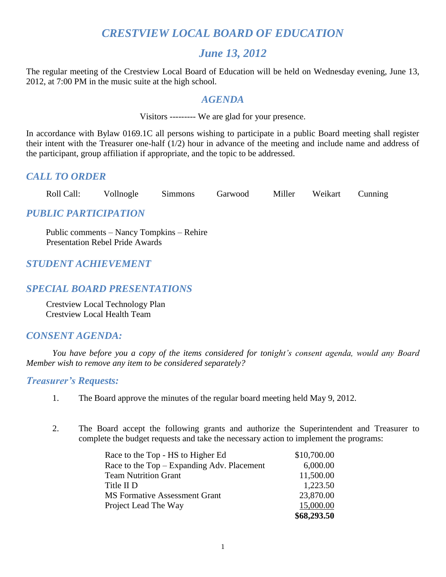# *CRESTVIEW LOCAL BOARD OF EDUCATION*

# *June 13, 2012*

The regular meeting of the Crestview Local Board of Education will be held on Wednesday evening, June 13, 2012, at 7:00 PM in the music suite at the high school.

#### *AGENDA*

Visitors --------- We are glad for your presence.

In accordance with Bylaw 0169.1C all persons wishing to participate in a public Board meeting shall register their intent with the Treasurer one-half (1/2) hour in advance of the meeting and include name and address of the participant, group affiliation if appropriate, and the topic to be addressed.

#### *CALL TO ORDER*

| Roll Call: | Vollnogle | <b>Simmons</b> | Garwood | Miller | Weikart | Cunning |
|------------|-----------|----------------|---------|--------|---------|---------|
|            |           |                |         |        |         |         |

#### *PUBLIC PARTICIPATION*

Public comments – Nancy Tompkins – Rehire Presentation Rebel Pride Awards

# *STUDENT ACHIEVEMENT*

#### *SPECIAL BOARD PRESENTATIONS*

Crestview Local Technology Plan Crestview Local Health Team

## *CONSENT AGENDA:*

*You have before you a copy of the items considered for tonight's consent agenda, would any Board Member wish to remove any item to be considered separately?*

#### *Treasurer's Requests:*

- 1. The Board approve the minutes of the regular board meeting held May 9, 2012.
- 2. The Board accept the following grants and authorize the Superintendent and Treasurer to complete the budget requests and take the necessary action to implement the programs:

| Race to the Top - HS to Higher Ed          | \$10,700.00 |
|--------------------------------------------|-------------|
| Race to the Top – Expanding Adv. Placement | 6,000.00    |
| <b>Team Nutrition Grant</b>                | 11,500.00   |
| Title II D                                 | 1,223.50    |
| <b>MS Formative Assessment Grant</b>       | 23,870.00   |
| Project Lead The Way                       | 15,000.00   |
|                                            | \$68,293.50 |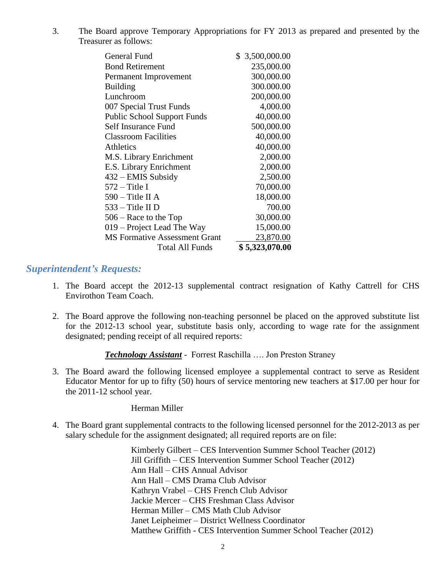3. The Board approve Temporary Appropriations for FY 2013 as prepared and presented by the Treasurer as follows:

| General Fund                         | \$ 3,500,000.00 |
|--------------------------------------|-----------------|
| <b>Bond Retirement</b>               | 235,000.00      |
| Permanent Improvement                | 300,000.00      |
| <b>Building</b>                      | 300.000.00      |
| Lunchroom                            | 200,000.00      |
| 007 Special Trust Funds              | 4,000.00        |
| <b>Public School Support Funds</b>   | 40,000.00       |
| Self Insurance Fund                  | 500,000.00      |
| <b>Classroom Facilities</b>          | 40,000.00       |
| Athletics                            | 40,000.00       |
| M.S. Library Enrichment              | 2,000.00        |
| E.S. Library Enrichment              | 2,000.00        |
| 432 – EMIS Subsidy                   | 2,500.00        |
| $572 -$ Title I                      | 70,000.00       |
| $590 -$ Title II A                   | 18,000.00       |
| $533 -$ Title II D                   | 700.00          |
| 506 – Race to the Top                | 30,000.00       |
| 019 – Project Lead The Way           | 15,000.00       |
| <b>MS Formative Assessment Grant</b> | 23,870.00       |
| Total All Funds                      | \$5,323,070.00  |

#### *Superintendent's Requests:*

- 1. The Board accept the 2012-13 supplemental contract resignation of Kathy Cattrell for CHS Envirothon Team Coach.
- 2. The Board approve the following non-teaching personnel be placed on the approved substitute list for the 2012-13 school year, substitute basis only, according to wage rate for the assignment designated; pending receipt of all required reports:

*Technology Assistant* - Forrest Raschilla …. Jon Preston Straney

3. The Board award the following licensed employee a supplemental contract to serve as Resident Educator Mentor for up to fifty (50) hours of service mentoring new teachers at \$17.00 per hour for the 2011-12 school year.

Herman Miller

4. The Board grant supplemental contracts to the following licensed personnel for the 2012-2013 as per salary schedule for the assignment designated; all required reports are on file:

> Kimberly Gilbert – CES Intervention Summer School Teacher (2012) Jill Griffith – CES Intervention Summer School Teacher (2012) Ann Hall – CHS Annual Advisor Ann Hall – CMS Drama Club Advisor Kathryn Vrabel – CHS French Club Advisor Jackie Mercer – CHS Freshman Class Advisor Herman Miller – CMS Math Club Advisor Janet Leipheimer – District Wellness Coordinator Matthew Griffith - CES Intervention Summer School Teacher (2012)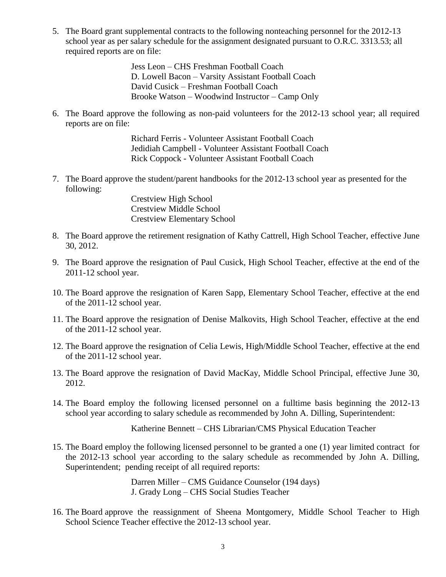5. The Board grant supplemental contracts to the following nonteaching personnel for the 2012-13 school year as per salary schedule for the assignment designated pursuant to O.R.C. 3313.53; all required reports are on file:

> Jess Leon – CHS Freshman Football Coach D. Lowell Bacon – Varsity Assistant Football Coach David Cusick – Freshman Football Coach Brooke Watson – Woodwind Instructor – Camp Only

6. The Board approve the following as non-paid volunteers for the 2012-13 school year; all required reports are on file:

> Richard Ferris - Volunteer Assistant Football Coach Jedidiah Campbell - Volunteer Assistant Football Coach Rick Coppock - Volunteer Assistant Football Coach

7. The Board approve the student/parent handbooks for the 2012-13 school year as presented for the following:

> Crestview High School Crestview Middle School Crestview Elementary School

- 8. The Board approve the retirement resignation of Kathy Cattrell, High School Teacher, effective June 30, 2012.
- 9. The Board approve the resignation of Paul Cusick, High School Teacher, effective at the end of the 2011-12 school year.
- 10. The Board approve the resignation of Karen Sapp, Elementary School Teacher, effective at the end of the 2011-12 school year.
- 11. The Board approve the resignation of Denise Malkovits, High School Teacher, effective at the end of the 2011-12 school year.
- 12. The Board approve the resignation of Celia Lewis, High/Middle School Teacher, effective at the end of the 2011-12 school year.
- 13. The Board approve the resignation of David MacKay, Middle School Principal, effective June 30, 2012.
- 14. The Board employ the following licensed personnel on a fulltime basis beginning the 2012-13 school year according to salary schedule as recommended by John A. Dilling, Superintendent:

Katherine Bennett – CHS Librarian/CMS Physical Education Teacher

15. The Board employ the following licensed personnel to be granted a one (1) year limited contract for the 2012-13 school year according to the salary schedule as recommended by John A. Dilling, Superintendent; pending receipt of all required reports:

> Darren Miller – CMS Guidance Counselor (194 days) J. Grady Long – CHS Social Studies Teacher

16. The Board approve the reassignment of Sheena Montgomery, Middle School Teacher to High School Science Teacher effective the 2012-13 school year.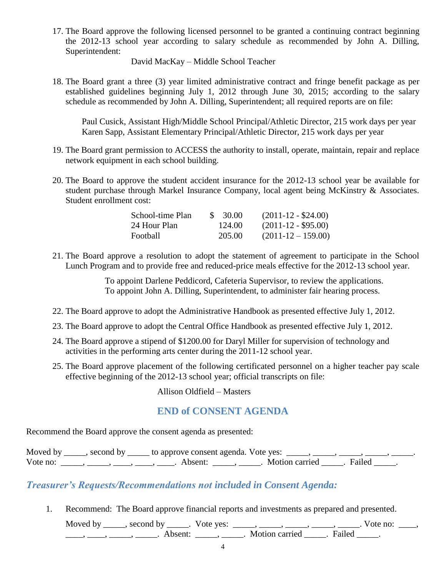17. The Board approve the following licensed personnel to be granted a continuing contract beginning the 2012-13 school year according to salary schedule as recommended by John A. Dilling, Superintendent:

David MacKay – Middle School Teacher

18. The Board grant a three (3) year limited administrative contract and fringe benefit package as per established guidelines beginning July 1, 2012 through June 30, 2015; according to the salary schedule as recommended by John A. Dilling, Superintendent; all required reports are on file:

Paul Cusick, Assistant High/Middle School Principal/Athletic Director, 215 work days per year Karen Sapp, Assistant Elementary Principal/Athletic Director, 215 work days per year

- 19. The Board grant permission to ACCESS the authority to install, operate, maintain, repair and replace network equipment in each school building.
- 20. The Board to approve the student accident insurance for the 2012-13 school year be available for student purchase through Markel Insurance Company, local agent being McKinstry & Associates. Student enrollment cost:

| School-time Plan | \$ 30.00 | $(2011-12 - $24.00)$ |  |
|------------------|----------|----------------------|--|
| 24 Hour Plan     | 124.00   | $(2011-12 - $95.00)$ |  |
| Football         | 205.00   | $(2011-12-159.00)$   |  |

21. The Board approve a resolution to adopt the statement of agreement to participate in the School Lunch Program and to provide free and reduced-price meals effective for the 2012-13 school year.

> To appoint Darlene Peddicord, Cafeteria Supervisor, to review the applications. To appoint John A. Dilling, Superintendent, to administer fair hearing process.

- 22. The Board approve to adopt the Administrative Handbook as presented effective July 1, 2012.
- 23. The Board approve to adopt the Central Office Handbook as presented effective July 1, 2012.
- 24. The Board approve a stipend of \$1200.00 for Daryl Miller for supervision of technology and activities in the performing arts center during the 2011-12 school year.
- 25. The Board approve placement of the following certificated personnel on a higher teacher pay scale effective beginning of the 2012-13 school year; official transcripts on file:

Allison Oldfield – Masters

#### **END of CONSENT AGENDA**

Recommend the Board approve the consent agenda as presented:

Moved by \_\_\_\_, second by \_\_\_\_\_ to approve consent agenda. Vote yes: \_\_\_\_, \_\_\_\_, \_\_\_\_, \_\_\_\_, \_\_\_\_\_, Vote no: \_\_\_\_\_, \_\_\_\_, \_\_\_\_, \_\_\_\_, \_\_\_\_, Absent: \_\_\_\_\_, \_\_\_\_\_. Motion carried \_\_\_\_\_. Failed \_\_\_\_.

## *Treasurer's Requests/Recommendations not included in Consent Agenda:*

1. Recommend: The Board approve financial reports and investments as prepared and presented.

Moved by \_\_\_\_\_, second by \_\_\_\_\_. Vote yes:  $\_\_\_\_\_\_\_\_\_\_\_\_\_\_\_$  \_\_\_\_\_, \_\_\_\_\_, \_\_\_\_\_. Vote no:  $\_\_\_\_\_\_\$ \_\_\_\_\_, \_\_\_\_\_\_, \_\_\_\_\_\_\_. Absent: \_\_\_\_\_\_, \_\_\_\_\_\_. Motion carried \_\_\_\_\_\_. Failed \_\_\_\_\_.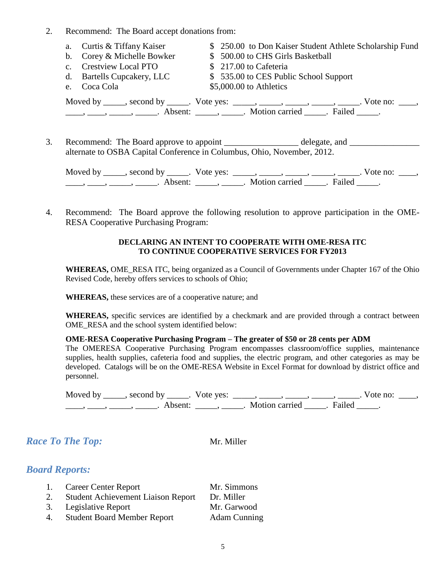2. Recommend: The Board accept donations from:

| a. Curtis & Tiffany Kaiser | \$ 250.00 to Don Kaiser Student Athlete Scholarship Fund                                                                                                                                                                                                                                                                                                                                                                    |
|----------------------------|-----------------------------------------------------------------------------------------------------------------------------------------------------------------------------------------------------------------------------------------------------------------------------------------------------------------------------------------------------------------------------------------------------------------------------|
| b. Corey & Michelle Bowker | \$500.00 to CHS Girls Basketball                                                                                                                                                                                                                                                                                                                                                                                            |
| c. Crestview Local PTO     | \$217.00 to Cafeteria                                                                                                                                                                                                                                                                                                                                                                                                       |
| d. Bartells Cupcakery, LLC | \$535.00 to CES Public School Support                                                                                                                                                                                                                                                                                                                                                                                       |
| e. Coca Cola               | \$5,000.00 to Athletics                                                                                                                                                                                                                                                                                                                                                                                                     |
|                            | Moved by ______, second by ______. Vote yes: _____, _____, _____, _____, _____. Vote no: ____,                                                                                                                                                                                                                                                                                                                              |
|                            | $\frac{1}{1}, \frac{1}{1}, \frac{1}{1}, \frac{1}{1}, \frac{1}{1}, \frac{1}{1}, \frac{1}{1}, \frac{1}{1}, \frac{1}{1}, \frac{1}{1}, \frac{1}{1}, \frac{1}{1}, \frac{1}{1}, \frac{1}{1}, \frac{1}{1}, \frac{1}{1}, \frac{1}{1}, \frac{1}{1}, \frac{1}{1}, \frac{1}{1}, \frac{1}{1}, \frac{1}{1}, \frac{1}{1}, \frac{1}{1}, \frac{1}{1}, \frac{1}{1}, \frac{1}{1}, \frac{1}{1}, \frac{1}{1}, \frac{1}{1}, \frac{1}{1}, \frac{$ |

3. Recommend: The Board approve to appoint \_\_\_\_\_\_\_\_\_\_\_\_\_\_\_\_\_ delegate, and \_\_\_\_\_\_\_\_\_\_\_\_ alternate to OSBA Capital Conference in Columbus, Ohio, November, 2012.

Moved by \_\_\_\_\_, second by \_\_\_\_\_. Vote yes:  $\_\_\_\_\_\_\_\_\_\_\_\_\_\_\_$  \_\_\_\_\_, \_\_\_\_\_, \_\_\_\_\_. Vote no:  $\_\_\_\_\_\_\$ \_\_\_\_\_, \_\_\_\_\_\_, \_\_\_\_\_\_\_. Absent: \_\_\_\_\_\_, \_\_\_\_\_\_. Motion carried \_\_\_\_\_\_. Failed \_\_\_\_\_.

4. Recommend: The Board approve the following resolution to approve participation in the OME-RESA Cooperative Purchasing Program:

#### **DECLARING AN INTENT TO COOPERATE WITH OME-RESA ITC TO CONTINUE COOPERATIVE SERVICES FOR FY2013**

**WHEREAS,** OME\_RESA ITC, being organized as a Council of Governments under Chapter 167 of the Ohio Revised Code, hereby offers services to schools of Ohio;

**WHEREAS,** these services are of a cooperative nature; and

**WHEREAS,** specific services are identified by a checkmark and are provided through a contract between OME\_RESA and the school system identified below:

#### **OME-RESA Cooperative Purchasing Program – The greater of \$50 or 28 cents per ADM**

The OMERESA Cooperative Purchasing Program encompasses classroom/office supplies, maintenance supplies, health supplies, cafeteria food and supplies, the electric program, and other categories as may be developed. Catalogs will be on the OME-RESA Website in Excel Format for download by district office and personnel.

Moved by \_\_\_\_\_, second by \_\_\_\_\_. Vote yes:  $\_\_\_\_\_\_\_\_\_\_\_\_\_\_\_$  \_\_\_\_\_, \_\_\_\_\_, \_\_\_\_\_. Vote no:  $\_\_\_\_\_\_\$ \_\_\_\_, \_\_\_\_\_, \_\_\_\_\_\_, Absent: \_\_\_\_\_, \_\_\_\_\_. Motion carried \_\_\_\_\_. Failed \_\_\_\_\_.

*Race To The Top:* Mr. Miller

#### *Board Reports:*

| 1. | Career Center Report                      | Mr. Simmons         |
|----|-------------------------------------------|---------------------|
| 2. | <b>Student Achievement Liaison Report</b> | Dr. Miller          |
|    | 3. Legislative Report                     | Mr. Garwood         |
| 4. | <b>Student Board Member Report</b>        | <b>Adam Cunning</b> |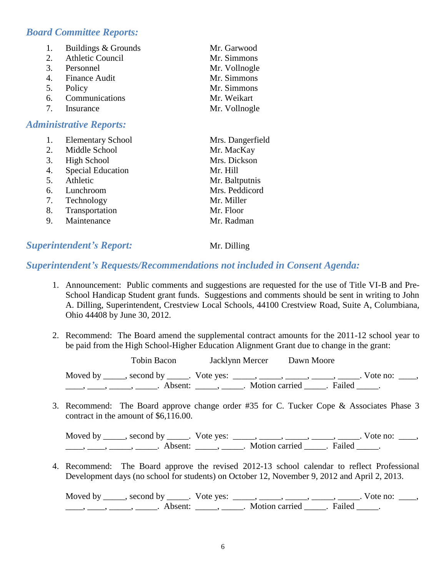#### *Board Committee Reports:*

| 1.                               | Buildings & Grounds     | Mr. Garwood   |  |
|----------------------------------|-------------------------|---------------|--|
| 2.                               | <b>Athletic Council</b> | Mr. Simmons   |  |
| 3.                               | Personnel               | Mr. Vollnogle |  |
| 4.                               | <b>Finance Audit</b>    | Mr. Simmons   |  |
| 5.                               | Policy                  | Mr. Simmons   |  |
| 6.                               | Communications          | Mr. Weikart   |  |
| $7_{\scriptscriptstyle{\ddots}}$ | Insurance               | Mr. Vollnogle |  |
| <b>Administrative Reports:</b>   |                         |               |  |

|    | <b>Elementary School</b> | Mrs. Dangerfield |
|----|--------------------------|------------------|
| 2. | Middle School            | Mr. MacKay       |
| 3. | <b>High School</b>       | Mrs. Dickson     |
| 4. | <b>Special Education</b> | Mr. Hill         |
| 5. | Athletic                 | Mr. Baltputnis   |
| 6. | Lunchroom                | Mrs. Peddicord   |
| 7. | Technology               | Mr. Miller       |
| 8. | Transportation           | Mr. Floor        |
| 9. | Maintenance              | Mr. Radman       |

#### *Superintendent's Report:* Mr. Dilling

#### *Superintendent's Requests/Recommendations not included in Consent Agenda:*

- 1. Announcement: Public comments and suggestions are requested for the use of Title VI-B and Pre-School Handicap Student grant funds. Suggestions and comments should be sent in writing to John A. Dilling, Superintendent, Crestview Local Schools, 44100 Crestview Road, Suite A, Columbiana, Ohio 44408 by June 30, 2012.
- 2. Recommend: The Board amend the supplemental contract amounts for the 2011-12 school year to be paid from the High School-Higher Education Alignment Grant due to change in the grant:

| Tobin Bacon                                                                  | Jacklynn Mercer                                             | Dawn Moore |                                |  |
|------------------------------------------------------------------------------|-------------------------------------------------------------|------------|--------------------------------|--|
| Moved by _____, second by _____. Vote yes: _____, _____, _____, _____, _____ |                                                             |            | $. \nabla$ vote no: $\theta$ . |  |
|                                                                              | Absent: _____, ______. Motion carried ______. Failed _____. |            |                                |  |

3. Recommend: The Board approve change order #35 for C. Tucker Cope & Associates Phase 3 contract in the amount of \$6,116.00.

Moved by \_\_\_\_\_, second by \_\_\_\_\_. Vote yes:  $\_\_\_\_\_\_\_\_\_\_\_\_\_\_\_$  \_\_\_\_\_, \_\_\_\_\_, \_\_\_\_\_. Vote no:  $\_\_\_\_\_\_\$ \_\_\_\_\_, \_\_\_\_\_\_, \_\_\_\_\_\_\_. Absent: \_\_\_\_\_\_, \_\_\_\_\_\_. Motion carried \_\_\_\_\_\_. Failed \_\_\_\_\_.

4. Recommend: The Board approve the revised 2012-13 school calendar to reflect Professional Development days (no school for students) on October 12, November 9, 2012 and April 2, 2013.

Moved by \_\_\_\_\_, second by \_\_\_\_\_. Vote yes:  $\_\_\_\_\_\_\_\_\_\_\_\_\_\_\_\_\_\_\_\_\_$  \_\_\_\_,  $\_\_\_\_\_\_\_\_\_\_\_\_\_\_\_\_$ . Vote no:  $\_\_\_\_\_\_\_\_$  $\underline{\phantom{a}}$ ,  $\underline{\phantom{a}}$ ,  $\underline{\phantom{a}}$ ,  $\underline{\phantom{a}}$ ,  $\underline{\phantom{a}}$ ,  $\underline{\phantom{a}}$ ,  $\underline{\phantom{a}}$ ,  $\underline{\phantom{a}}$ ,  $\underline{\phantom{a}}$ ,  $\underline{\phantom{a}}$ ,  $\underline{\phantom{a}}$ ,  $\underline{\phantom{a}}$ ,  $\underline{\phantom{a}}$ ,  $\underline{\phantom{a}}$ ,  $\underline{\phantom{a}}$ ,  $\underline{\phantom{a}}$ ,  $\underline{\phantom{a}}$ ,